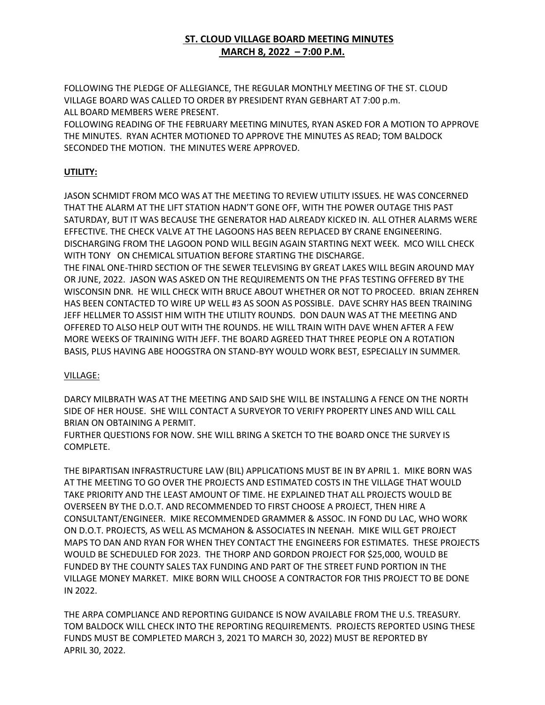## **ST. CLOUD VILLAGE BOARD MEETING MINUTES MARCH 8, 2022 – 7:00 P.M.**

FOLLOWING THE PLEDGE OF ALLEGIANCE, THE REGULAR MONTHLY MEETING OF THE ST. CLOUD VILLAGE BOARD WAS CALLED TO ORDER BY PRESIDENT RYAN GEBHART AT 7:00 p.m. ALL BOARD MEMBERS WERE PRESENT.

FOLLOWING READING OF THE FEBRUARY MEETING MINUTES, RYAN ASKED FOR A MOTION TO APPROVE THE MINUTES. RYAN ACHTER MOTIONED TO APPROVE THE MINUTES AS READ; TOM BALDOCK SECONDED THE MOTION. THE MINUTES WERE APPROVED.

## **UTILITY:**

JASON SCHMIDT FROM MCO WAS AT THE MEETING TO REVIEW UTILITY ISSUES. HE WAS CONCERNED THAT THE ALARM AT THE LIFT STATION HADN'T GONE OFF, WITH THE POWER OUTAGE THIS PAST SATURDAY, BUT IT WAS BECAUSE THE GENERATOR HAD ALREADY KICKED IN. ALL OTHER ALARMS WERE EFFECTIVE. THE CHECK VALVE AT THE LAGOONS HAS BEEN REPLACED BY CRANE ENGINEERING. DISCHARGING FROM THE LAGOON POND WILL BEGIN AGAIN STARTING NEXT WEEK. MCO WILL CHECK WITH TONY ON CHEMICAL SITUATION BEFORE STARTING THE DISCHARGE.

THE FINAL ONE-THIRD SECTION OF THE SEWER TELEVISING BY GREAT LAKES WILL BEGIN AROUND MAY OR JUNE, 2022. JASON WAS ASKED ON THE REQUIREMENTS ON THE PFAS TESTING OFFERED BY THE WISCONSIN DNR. HE WILL CHECK WITH BRUCE ABOUT WHETHER OR NOT TO PROCEED. BRIAN ZEHREN HAS BEEN CONTACTED TO WIRE UP WELL #3 AS SOON AS POSSIBLE. DAVE SCHRY HAS BEEN TRAINING JEFF HELLMER TO ASSIST HIM WITH THE UTILITY ROUNDS. DON DAUN WAS AT THE MEETING AND OFFERED TO ALSO HELP OUT WITH THE ROUNDS. HE WILL TRAIN WITH DAVE WHEN AFTER A FEW MORE WEEKS OF TRAINING WITH JEFF. THE BOARD AGREED THAT THREE PEOPLE ON A ROTATION BASIS, PLUS HAVING ABE HOOGSTRA ON STAND-BYY WOULD WORK BEST, ESPECIALLY IN SUMMER.

## VILLAGE:

DARCY MILBRATH WAS AT THE MEETING AND SAID SHE WILL BE INSTALLING A FENCE ON THE NORTH SIDE OF HER HOUSE. SHE WILL CONTACT A SURVEYOR TO VERIFY PROPERTY LINES AND WILL CALL BRIAN ON OBTAINING A PERMIT.

FURTHER QUESTIONS FOR NOW. SHE WILL BRING A SKETCH TO THE BOARD ONCE THE SURVEY IS COMPLETE.

THE BIPARTISAN INFRASTRUCTURE LAW (BIL) APPLICATIONS MUST BE IN BY APRIL 1. MIKE BORN WAS AT THE MEETING TO GO OVER THE PROJECTS AND ESTIMATED COSTS IN THE VILLAGE THAT WOULD TAKE PRIORITY AND THE LEAST AMOUNT OF TIME. HE EXPLAINED THAT ALL PROJECTS WOULD BE OVERSEEN BY THE D.O.T. AND RECOMMENDED TO FIRST CHOOSE A PROJECT, THEN HIRE A CONSULTANT/ENGINEER. MIKE RECOMMENDED GRAMMER & ASSOC. IN FOND DU LAC, WHO WORK ON D.O.T. PROJECTS, AS WELL AS MCMAHON & ASSOCIATES IN NEENAH. MIKE WILL GET PROJECT MAPS TO DAN AND RYAN FOR WHEN THEY CONTACT THE ENGINEERS FOR ESTIMATES. THESE PROJECTS WOULD BE SCHEDULED FOR 2023. THE THORP AND GORDON PROJECT FOR \$25,000, WOULD BE FUNDED BY THE COUNTY SALES TAX FUNDING AND PART OF THE STREET FUND PORTION IN THE VILLAGE MONEY MARKET. MIKE BORN WILL CHOOSE A CONTRACTOR FOR THIS PROJECT TO BE DONE IN 2022.

THE ARPA COMPLIANCE AND REPORTING GUIDANCE IS NOW AVAILABLE FROM THE U.S. TREASURY. TOM BALDOCK WILL CHECK INTO THE REPORTING REQUIREMENTS. PROJECTS REPORTED USING THESE FUNDS MUST BE COMPLETED MARCH 3, 2021 TO MARCH 30, 2022) MUST BE REPORTED BY APRIL 30, 2022.